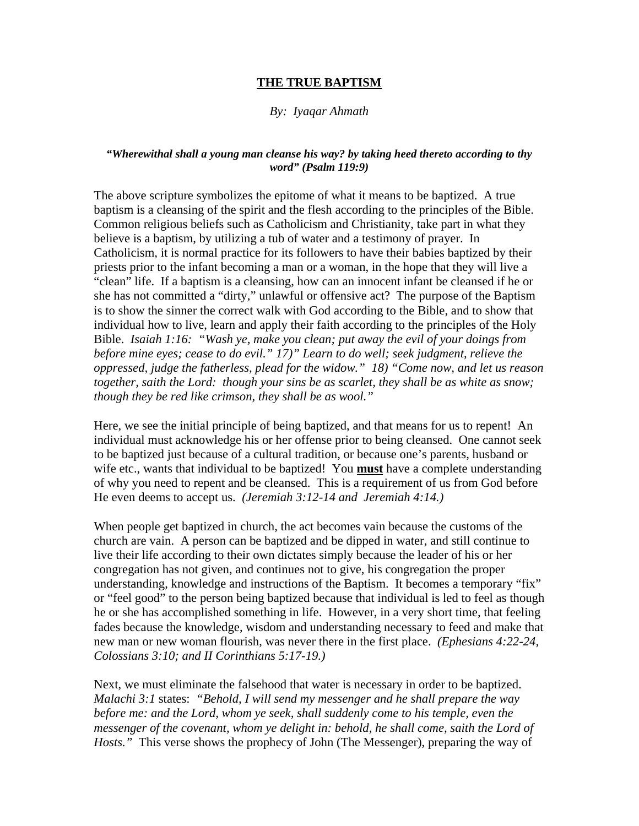## **THE TRUE BAPTISM**

## *By: Iyaqar Ahmath*

## *"Wherewithal shall a young man cleanse his way? by taking heed thereto according to thy word" (Psalm 119:9)*

The above scripture symbolizes the epitome of what it means to be baptized. A true baptism is a cleansing of the spirit and the flesh according to the principles of the Bible. Common religious beliefs such as Catholicism and Christianity, take part in what they believe is a baptism, by utilizing a tub of water and a testimony of prayer. In Catholicism, it is normal practice for its followers to have their babies baptized by their priests prior to the infant becoming a man or a woman, in the hope that they will live a "clean" life. If a baptism is a cleansing, how can an innocent infant be cleansed if he or she has not committed a "dirty," unlawful or offensive act? The purpose of the Baptism is to show the sinner the correct walk with God according to the Bible, and to show that individual how to live, learn and apply their faith according to the principles of the Holy Bible. *Isaiah 1:16: "Wash ye, make you clean; put away the evil of your doings from before mine eyes; cease to do evil." 17)" Learn to do well; seek judgment, relieve the oppressed, judge the fatherless, plead for the widow." 18) "Come now, and let us reason together, saith the Lord: though your sins be as scarlet, they shall be as white as snow; though they be red like crimson, they shall be as wool."*

Here, we see the initial principle of being baptized, and that means for us to repent! An individual must acknowledge his or her offense prior to being cleansed. One cannot seek to be baptized just because of a cultural tradition, or because one's parents, husband or wife etc., wants that individual to be baptized! You **must** have a complete understanding of why you need to repent and be cleansed. This is a requirement of us from God before He even deems to accept us. *(Jeremiah 3:12-14 and Jeremiah 4:14.)*

When people get baptized in church, the act becomes vain because the customs of the church are vain. A person can be baptized and be dipped in water, and still continue to live their life according to their own dictates simply because the leader of his or her congregation has not given, and continues not to give, his congregation the proper understanding, knowledge and instructions of the Baptism. It becomes a temporary "fix" or "feel good" to the person being baptized because that individual is led to feel as though he or she has accomplished something in life. However, in a very short time, that feeling fades because the knowledge, wisdom and understanding necessary to feed and make that new man or new woman flourish, was never there in the first place. *(Ephesians 4:22-24, Colossians 3:10; and II Corinthians 5:17-19.)*

Next, we must eliminate the falsehood that water is necessary in order to be baptized. *Malachi 3:1* states: *"Behold, I will send my messenger and he shall prepare the way before me: and the Lord, whom ye seek, shall suddenly come to his temple, even the messenger of the covenant, whom ye delight in: behold, he shall come, saith the Lord of Hosts."* This verse shows the prophecy of John (The Messenger), preparing the way of